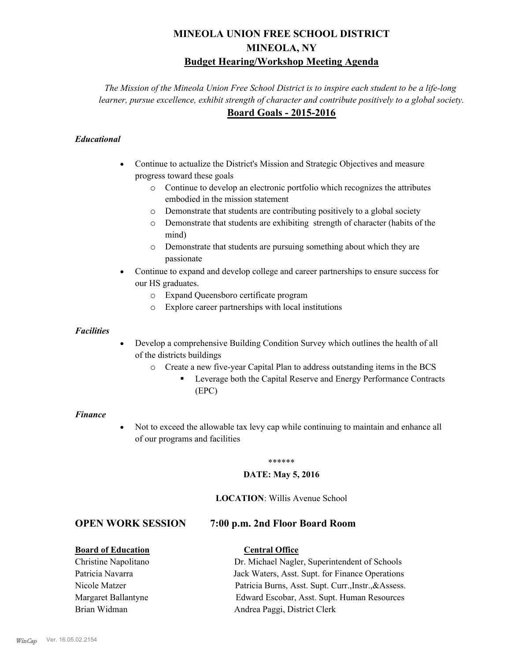# **MINEOLA UNION FREE SCHOOL DISTRICT MINEOLA, NY Budget Hearing/Workshop Meeting Agenda**

*The Mission of the Mineola Union Free School District is to inspire each student to be a life-long learner, pursue excellence, exhibit strength of character and contribute positively to a global society.* **Board Goals - 2015-2016**

# *Educational*

- · Continue to actualize the District's Mission and Strategic Objectives and measure progress toward these goals
	- o Continue to develop an electronic portfolio which recognizes the attributes embodied in the mission statement
	- o Demonstrate that students are contributing positively to a global society
	- o Demonstrate that students are exhibiting strength of character (habits of the mind)
	- o Demonstrate that students are pursuing something about which they are passionate
- Continue to expand and develop college and career partnerships to ensure success for our HS graduates.
	- o Expand Queensboro certificate program
	- o Explore career partnerships with local institutions

# *Facilities*

- Develop a comprehensive Building Condition Survey which outlines the health of all of the districts buildings
	- o Create a new five-year Capital Plan to address outstanding items in the BCS
		- § Leverage both the Capital Reserve and Energy Performance Contracts (EPC)

#### *Finance*

• Not to exceed the allowable tax levy cap while continuing to maintain and enhance all of our programs and facilities

#### \*\*\*\*\*\*

### **DATE: May 5, 2016**

# **LOCATION**: Willis Avenue School

# **OPEN WORK SESSION 7:00 p.m. 2nd Floor Board Room**

# **Board of Education Central Office**

# Christine Napolitano Dr. Michael Nagler, Superintendent of Schools Patricia Navarra Jack Waters, Asst. Supt. for Finance Operations Nicole Matzer Patricia Burns, Asst. Supt. Curr.,Instr.,&Assess. Margaret Ballantyne Edward Escobar, Asst. Supt. Human Resources Brian Widman **Andrea Paggi, District Clerk**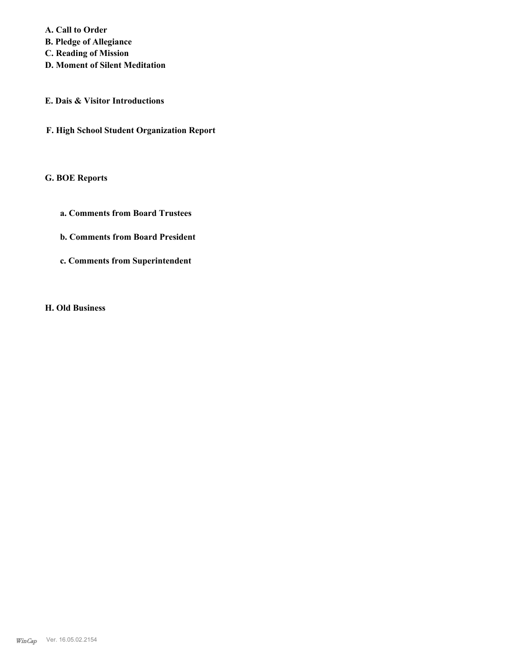**A. Call to Order B. Pledge of Allegiance C. Reading of Mission**

- **D. Moment of Silent Meditation**
- **E. Dais & Visitor Introductions**
- **F. High School Student Organization Report**

# **G. BOE Reports**

- **a. Comments from Board Trustees**
- **b. Comments from Board President**
- **c. Comments from Superintendent**

**H. Old Business**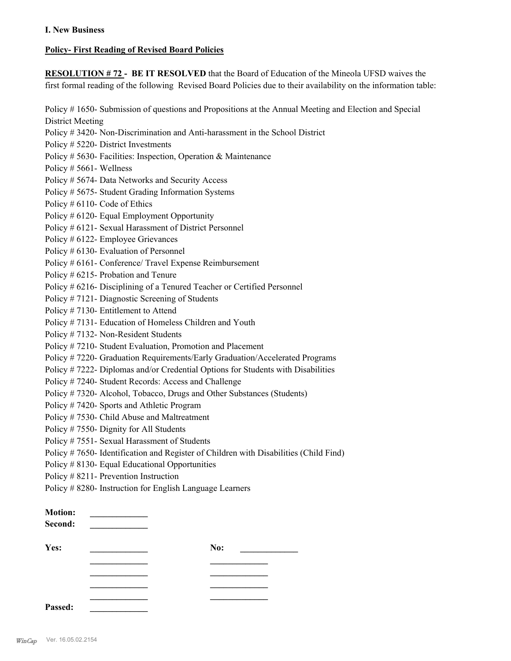# **I. New Business**

# **Policy- First Reading of Revised Board Policies**

**RESOLUTION # 72 - BE IT RESOLVED** that the Board of Education of the Mineola UFSD waives the first formal reading of the following Revised Board Policies due to their availability on the information table: Policy # 1650- Submission of questions and Propositions at the Annual Meeting and Election and Special District Meeting Policy # 3420- Non-Discrimination and Anti-harassment in the School District Policy # 5220- District Investments Policy # 5630- Facilities: Inspection, Operation & Maintenance Policy # 5661- Wellness Policy # 5674- Data Networks and Security Access Policy # 5675- Student Grading Information Systems Policy # 6110- Code of Ethics Policy # 6120- Equal Employment Opportunity Policy # 6121- Sexual Harassment of District Personnel Policy # 6122- Employee Grievances Policy # 6130- Evaluation of Personnel Policy # 6161- Conference/ Travel Expense Reimbursement Policy # 6215- Probation and Tenure Policy # 6216- Disciplining of a Tenured Teacher or Certified Personnel Policy # 7121- Diagnostic Screening of Students Policy # 7130- Entitlement to Attend Policy # 7131- Education of Homeless Children and Youth Policy # 7132- Non-Resident Students Policy # 7210- Student Evaluation, Promotion and Placement Policy # 7220- Graduation Requirements/Early Graduation/Accelerated Programs Policy # 7222- Diplomas and/or Credential Options for Students with Disabilities Policy # 7240- Student Records: Access and Challenge Policy # 7320- Alcohol, Tobacco, Drugs and Other Substances (Students) Policy # 7420- Sports and Athletic Program Policy # 7530- Child Abuse and Maltreatment Policy # 7550- Dignity for All Students Policy # 7551- Sexual Harassment of Students Policy # 7650- Identification and Register of Children with Disabilities (Child Find) Policy # 8130- Equal Educational Opportunities Policy # 8211- Prevention Instruction Policy # 8280- Instruction for English Language Learners

| <b>Motion:</b><br>Second: |     |  |
|---------------------------|-----|--|
| Yes:                      | No: |  |
|                           |     |  |
|                           |     |  |
|                           |     |  |
| Passed:                   |     |  |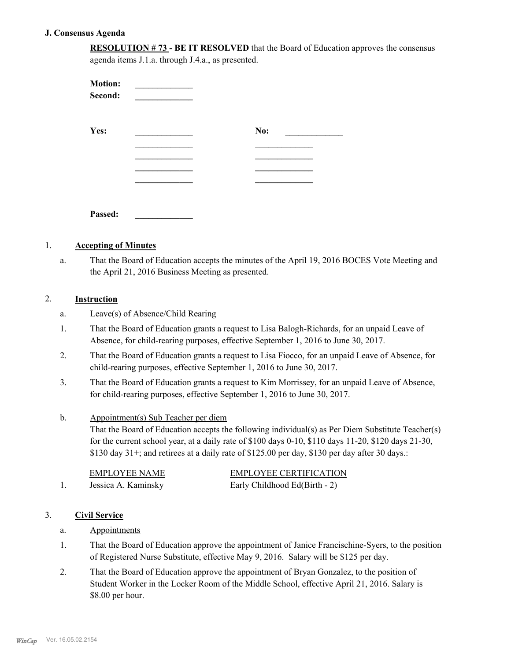# **J. Consensus Agenda**

**RESOLUTION # 73 - BE IT RESOLVED** that the Board of Education approves the consensus agenda items J.1.a. through J.4.a., as presented.

| <b>Motion:</b><br>Second: |     |
|---------------------------|-----|
| Yes:                      | No: |
|                           |     |
|                           |     |
|                           |     |
|                           |     |
| Passed:                   |     |

# 1. **Accepting of Minutes**

That the Board of Education accepts the minutes of the April 19, 2016 BOCES Vote Meeting and the April 21, 2016 Business Meeting as presented. a.

# 2. **Instruction**

- a. Leave(s) of Absence/Child Rearing
- That the Board of Education grants a request to Lisa Balogh-Richards, for an unpaid Leave of Absence, for child-rearing purposes, effective September 1, 2016 to June 30, 2017. 1.
- That the Board of Education grants a request to Lisa Fiocco, for an unpaid Leave of Absence, for child-rearing purposes, effective September 1, 2016 to June 30, 2017. 2.
- That the Board of Education grants a request to Kim Morrissey, for an unpaid Leave of Absence, for child-rearing purposes, effective September 1, 2016 to June 30, 2017. 3.

#### Appointment(s) Sub Teacher per diem b.

That the Board of Education accepts the following individual(s) as Per Diem Substitute Teacher(s) for the current school year, at a daily rate of \$100 days 0-10, \$110 days 11-20, \$120 days 21-30, \$130 day 31+; and retirees at a daily rate of \$125.00 per day, \$130 per day after 30 days.:

| EMPLOYEE NAME       | <b>EMPLOYEE CERTIFICATION</b> |
|---------------------|-------------------------------|
| Jessica A. Kaminsky | Early Childhood Ed(Birth - 2) |

### 3. **Civil Service**

# a. Appointments

- That the Board of Education approve the appointment of Janice Francischine-Syers, to the position of Registered Nurse Substitute, effective May 9, 2016. Salary will be \$125 per day. 1.
- That the Board of Education approve the appointment of Bryan Gonzalez, to the position of Student Worker in the Locker Room of the Middle School, effective April 21, 2016. Salary is \$8.00 per hour. 2.